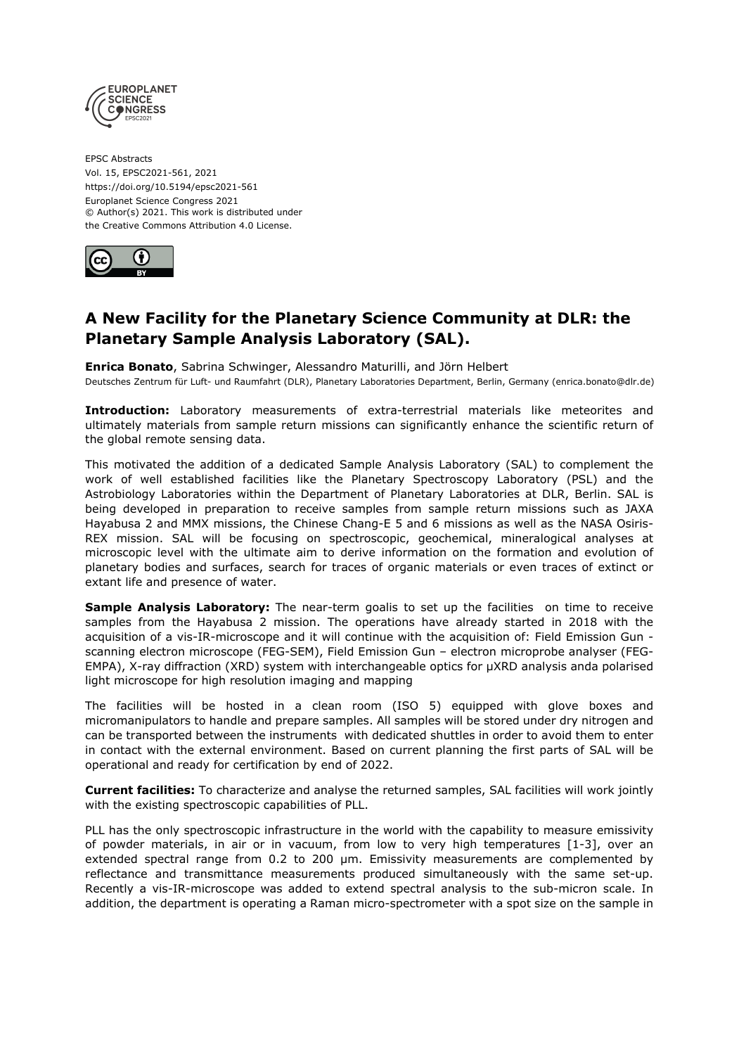

EPSC Abstracts Vol. 15, EPSC2021-561, 2021 https://doi.org/10.5194/epsc2021-561 Europlanet Science Congress 2021 © Author(s) 2021. This work is distributed under the Creative Commons Attribution 4.0 License.



## **A New Facility for the Planetary Science Community at DLR: the Planetary Sample Analysis Laboratory (SAL).**

**Enrica Bonato**, Sabrina Schwinger, Alessandro Maturilli, and Jörn Helbert Deutsches Zentrum für Luft- und Raumfahrt (DLR), Planetary Laboratories Department, Berlin, Germany (enrica.bonato@dlr.de)

**Introduction:** Laboratory measurements of extra-terrestrial materials like meteorites and ultimately materials from sample return missions can significantly enhance the scientific return of the global remote sensing data.

This motivated the addition of a dedicated Sample Analysis Laboratory (SAL) to complement the work of well established facilities like the Planetary Spectroscopy Laboratory (PSL) and the Astrobiology Laboratories within the Department of Planetary Laboratories at DLR, Berlin. SAL is being developed in preparation to receive samples from sample return missions such as JAXA Hayabusa 2 and MMX missions, the Chinese Chang-E 5 and 6 missions as well as the NASA Osiris-REX mission. SAL will be focusing on spectroscopic, geochemical, mineralogical analyses at microscopic level with the ultimate aim to derive information on the formation and evolution of planetary bodies and surfaces, search for traces of organic materials or even traces of extinct or extant life and presence of water.

**Sample Analysis Laboratory:** The near-term goalis to set up the facilities on time to receive samples from the Hayabusa 2 mission. The operations have already started in 2018 with the acquisition of a vis-IR-microscope and it will continue with the acquisition of: Field Emission Gun scanning electron microscope (FEG-SEM), Field Emission Gun – electron microprobe analyser (FEG-EMPA), X-ray diffraction (XRD) system with interchangeable optics for μXRD analysis anda polarised light microscope for high resolution imaging and mapping

The facilities will be hosted in a clean room (ISO 5) equipped with glove boxes and micromanipulators to handle and prepare samples. All samples will be stored under dry nitrogen and can be transported between the instruments with dedicated shuttles in order to avoid them to enter in contact with the external environment. Based on current planning the first parts of SAL will be operational and ready for certification by end of 2022.

**Current facilities:** To characterize and analyse the returned samples, SAL facilities will work jointly with the existing spectroscopic capabilities of PLL.

PLL has the only spectroscopic infrastructure in the world with the capability to measure emissivity of powder materials, in air or in vacuum, from low to very high temperatures [1-3], over an extended spectral range from 0.2 to 200 µm. Emissivity measurements are complemented by reflectance and transmittance measurements produced simultaneously with the same set-up. Recently a vis-IR-microscope was added to extend spectral analysis to the sub-micron scale. In addition, the department is operating a Raman micro-spectrometer with a spot size on the sample in